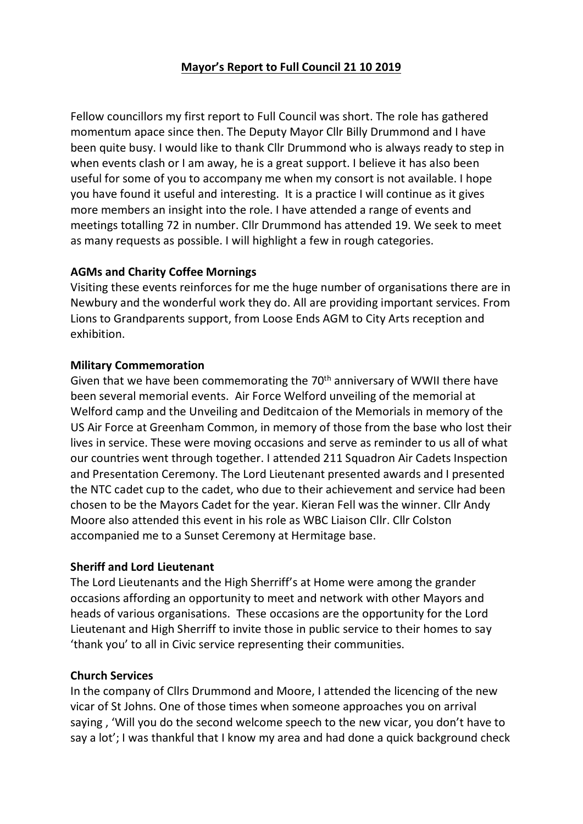# **Mayor's Report to Full Council 21 10 2019**

Fellow councillors my first report to Full Council was short. The role has gathered momentum apace since then. The Deputy Mayor Cllr Billy Drummond and I have been quite busy. I would like to thank Cllr Drummond who is always ready to step in when events clash or I am away, he is a great support. I believe it has also been useful for some of you to accompany me when my consort is not available. I hope you have found it useful and interesting. It is a practice I will continue as it gives more members an insight into the role. I have attended a range of events and meetings totalling 72 in number. Cllr Drummond has attended 19. We seek to meet as many requests as possible. I will highlight a few in rough categories.

### **AGMs and Charity Coffee Mornings**

Visiting these events reinforces for me the huge number of organisations there are in Newbury and the wonderful work they do. All are providing important services. From Lions to Grandparents support, from Loose Ends AGM to City Arts reception and exhibition.

#### **Military Commemoration**

Given that we have been commemorating the 70th anniversary of WWII there have been several memorial events. Air Force Welford unveiling of the memorial at Welford camp and the Unveiling and Deditcaion of the Memorials in memory of the US Air Force at Greenham Common, in memory of those from the base who lost their lives in service. These were moving occasions and serve as reminder to us all of what our countries went through together. I attended 211 Squadron Air Cadets Inspection and Presentation Ceremony. The Lord Lieutenant presented awards and I presented the NTC cadet cup to the cadet, who due to their achievement and service had been chosen to be the Mayors Cadet for the year. Kieran Fell was the winner. Cllr Andy Moore also attended this event in his role as WBC Liaison Cllr. Cllr Colston accompanied me to a Sunset Ceremony at Hermitage base.

#### **Sheriff and Lord Lieutenant**

The Lord Lieutenants and the High Sherriff's at Home were among the grander occasions affording an opportunity to meet and network with other Mayors and heads of various organisations. These occasions are the opportunity for the Lord Lieutenant and High Sherriff to invite those in public service to their homes to say 'thank you' to all in Civic service representing their communities.

#### **Church Services**

In the company of Cllrs Drummond and Moore, I attended the licencing of the new vicar of St Johns. One of those times when someone approaches you on arrival saying , 'Will you do the second welcome speech to the new vicar, you don't have to say a lot'; I was thankful that I know my area and had done a quick background check